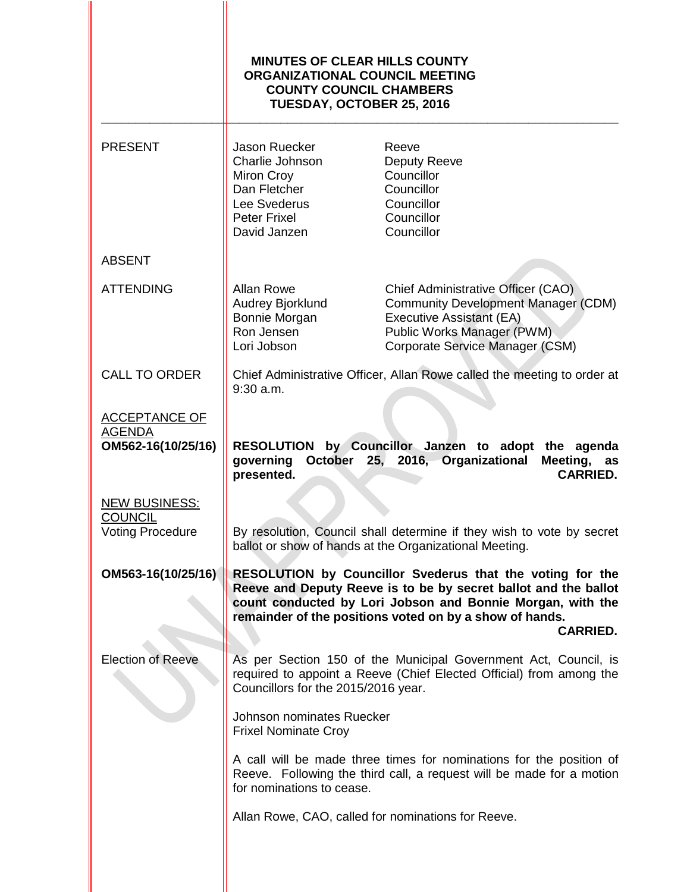|                                                                   | <b>MINUTES OF CLEAR HILLS COUNTY</b><br><b>ORGANIZATIONAL COUNCIL MEETING</b><br><b>COUNTY COUNCIL CHAMBERS</b><br>TUESDAY, OCTOBER 25, 2016 |                                                                                                                                                                                                                                                                          |
|-------------------------------------------------------------------|----------------------------------------------------------------------------------------------------------------------------------------------|--------------------------------------------------------------------------------------------------------------------------------------------------------------------------------------------------------------------------------------------------------------------------|
| <b>PRESENT</b>                                                    | Jason Ruecker<br>Charlie Johnson<br>Miron Croy<br>Dan Fletcher<br>Lee Svederus<br><b>Peter Frixel</b><br>David Janzen                        | Reeve<br>Deputy Reeve<br>Councillor<br>Councillor<br>Councillor<br>Councillor<br>Councillor                                                                                                                                                                              |
| <b>ABSENT</b>                                                     |                                                                                                                                              |                                                                                                                                                                                                                                                                          |
| <b>ATTENDING</b>                                                  | <b>Allan Rowe</b><br>Audrey Bjorklund<br>Bonnie Morgan<br>Ron Jensen<br>Lori Jobson                                                          | Chief Administrative Officer (CAO)<br><b>Community Development Manager (CDM)</b><br>Executive Assistant (EA)<br>Public Works Manager (PWM)<br>Corporate Service Manager (CSM)                                                                                            |
| <b>CALL TO ORDER</b>                                              | $9:30$ a.m.                                                                                                                                  | Chief Administrative Officer, Allan Rowe called the meeting to order at                                                                                                                                                                                                  |
| <b>ACCEPTANCE OF</b><br><b>AGENDA</b><br>OM562-16(10/25/16)       | <b>RESOLUTION</b><br>October<br>governing<br>presented.                                                                                      | by Councillor Janzen to adopt the agenda<br>25, 2016, Organizational<br>Meeting,<br>as<br><b>CARRIED.</b>                                                                                                                                                                |
| <b>NEW BUSINESS:</b><br><b>COUNCIL</b><br><b>Voting Procedure</b> |                                                                                                                                              | By resolution, Council shall determine if they wish to vote by secret<br>ballot or show of hands at the Organizational Meeting.                                                                                                                                          |
| OM563-16(10/25/16)                                                |                                                                                                                                              | RESOLUTION by Councillor Svederus that the voting for the<br>Reeve and Deputy Reeve is to be by secret ballot and the ballot<br>count conducted by Lori Jobson and Bonnie Morgan, with the<br>remainder of the positions voted on by a show of hands.<br><b>CARRIED.</b> |
| <b>Election of Reeve</b>                                          | Councillors for the 2015/2016 year.                                                                                                          | As per Section 150 of the Municipal Government Act, Council, is<br>required to appoint a Reeve (Chief Elected Official) from among the                                                                                                                                   |
|                                                                   | Johnson nominates Ruecker<br><b>Frixel Nominate Croy</b>                                                                                     |                                                                                                                                                                                                                                                                          |
|                                                                   | for nominations to cease.                                                                                                                    | A call will be made three times for nominations for the position of<br>Reeve. Following the third call, a request will be made for a motion                                                                                                                              |
|                                                                   | Allan Rowe, CAO, called for nominations for Reeve.                                                                                           |                                                                                                                                                                                                                                                                          |
|                                                                   |                                                                                                                                              |                                                                                                                                                                                                                                                                          |

II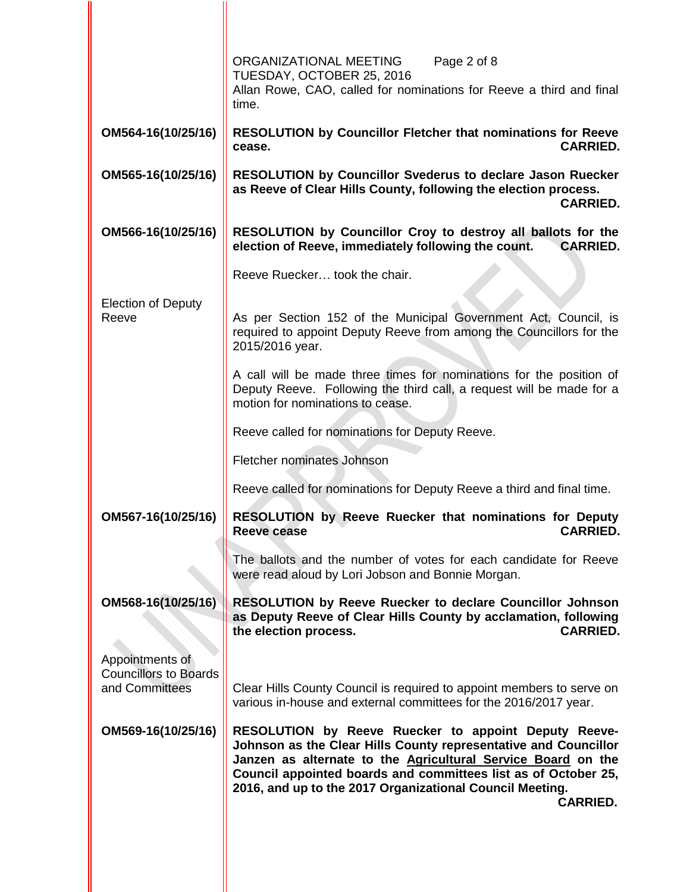|                                                | ORGANIZATIONAL MEETING<br>Page 2 of 8<br>TUESDAY, OCTOBER 25, 2016<br>Allan Rowe, CAO, called for nominations for Reeve a third and final<br>time.                                                                                                                                                                                              |
|------------------------------------------------|-------------------------------------------------------------------------------------------------------------------------------------------------------------------------------------------------------------------------------------------------------------------------------------------------------------------------------------------------|
| OM564-16(10/25/16)                             | <b>RESOLUTION by Councillor Fletcher that nominations for Reeve</b><br><b>CARRIED.</b><br>cease.                                                                                                                                                                                                                                                |
| OM565-16(10/25/16)                             | <b>RESOLUTION by Councillor Svederus to declare Jason Ruecker</b><br>as Reeve of Clear Hills County, following the election process.<br><b>CARRIED.</b>                                                                                                                                                                                         |
| OM566-16(10/25/16)                             | RESOLUTION by Councillor Croy to destroy all ballots for the<br>election of Reeve, immediately following the count.<br><b>CARRIED.</b>                                                                                                                                                                                                          |
|                                                | Reeve Ruecker took the chair.                                                                                                                                                                                                                                                                                                                   |
| <b>Election of Deputy</b><br>Reeve             | As per Section 152 of the Municipal Government Act, Council, is<br>required to appoint Deputy Reeve from among the Councillors for the<br>2015/2016 year.                                                                                                                                                                                       |
|                                                | A call will be made three times for nominations for the position of<br>Deputy Reeve. Following the third call, a request will be made for a<br>motion for nominations to cease.                                                                                                                                                                 |
|                                                | Reeve called for nominations for Deputy Reeve.                                                                                                                                                                                                                                                                                                  |
|                                                | Fletcher nominates Johnson                                                                                                                                                                                                                                                                                                                      |
|                                                | Reeve called for nominations for Deputy Reeve a third and final time.                                                                                                                                                                                                                                                                           |
| OM567-16(10/25/16)                             | RESOLUTION by Reeve Ruecker that nominations for Deputy<br><b>Reeve cease</b><br><b>CARRIED.</b>                                                                                                                                                                                                                                                |
|                                                | The ballots and the number of votes for each candidate for Reeve<br>were read aloud by Lori Jobson and Bonnie Morgan.                                                                                                                                                                                                                           |
| OM568-16(10/25/16)<br>Appointments of          | <b>RESOLUTION by Reeve Ruecker to declare Councillor Johnson</b><br>as Deputy Reeve of Clear Hills County by acclamation, following<br><b>CARRIED.</b><br>the election process.                                                                                                                                                                 |
| <b>Councillors to Boards</b><br>and Committees | Clear Hills County Council is required to appoint members to serve on<br>various in-house and external committees for the 2016/2017 year.                                                                                                                                                                                                       |
| OM569-16(10/25/16)                             | RESOLUTION by Reeve Ruecker to appoint Deputy Reeve-<br>Johnson as the Clear Hills County representative and Councillor<br>Janzen as alternate to the <b>Agricultural Service Board</b> on the<br>Council appointed boards and committees list as of October 25,<br>2016, and up to the 2017 Organizational Council Meeting.<br><b>CARRIED.</b> |
|                                                |                                                                                                                                                                                                                                                                                                                                                 |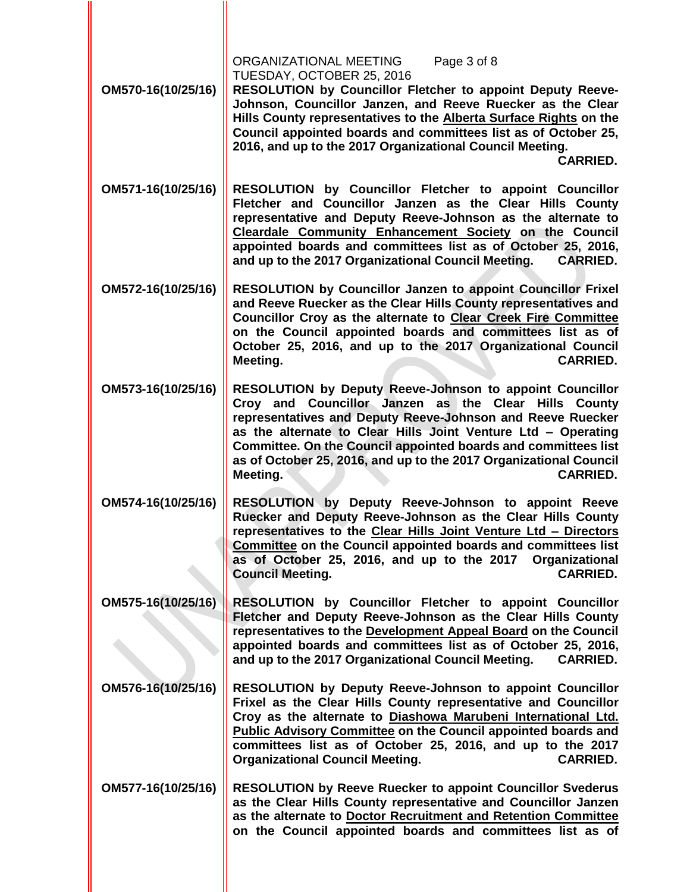| OM570-16(10/25/16) | ORGANIZATIONAL MEETING<br>Page 3 of 8<br>TUESDAY, OCTOBER 25, 2016<br>RESOLUTION by Councillor Fletcher to appoint Deputy Reeve-<br>Johnson, Councillor Janzen, and Reeve Ruecker as the Clear<br>Hills County representatives to the Alberta Surface Rights on the<br>Council appointed boards and committees list as of October 25,<br>2016, and up to the 2017 Organizational Council Meeting.<br><b>CARRIED.</b>  |
|--------------------|-----------------------------------------------------------------------------------------------------------------------------------------------------------------------------------------------------------------------------------------------------------------------------------------------------------------------------------------------------------------------------------------------------------------------|
| OM571-16(10/25/16) | RESOLUTION by Councillor Fletcher to appoint Councillor<br>Fletcher and Councillor Janzen as the Clear Hills County<br>representative and Deputy Reeve-Johnson as the alternate to<br>Cleardale Community Enhancement Society on the Council<br>appointed boards and committees list as of October 25, 2016,<br>and up to the 2017 Organizational Council Meeting.<br><b>CARRIED.</b>                                 |
| OM572-16(10/25/16) | <b>RESOLUTION by Councillor Janzen to appoint Councillor Frixel</b><br>and Reeve Ruecker as the Clear Hills County representatives and<br>Councillor Croy as the alternate to Clear Creek Fire Committee<br>on the Council appointed boards and committees list as of<br>October 25, 2016, and up to the 2017 Organizational Council<br><b>CARRIED.</b><br>Meeting.                                                   |
| OM573-16(10/25/16) | RESOLUTION by Deputy Reeve-Johnson to appoint Councillor<br>Croy and Councillor Janzen as the Clear Hills County<br>representatives and Deputy Reeve-Johnson and Reeve Ruecker<br>as the alternate to Clear Hills Joint Venture Ltd - Operating<br>Committee. On the Council appointed boards and committees list<br>as of October 25, 2016, and up to the 2017 Organizational Council<br>Meeting.<br><b>CARRIED.</b> |
| OM574-16(10/25/16) | RESOLUTION by Deputy Reeve-Johnson to appoint Reeve<br>Ruecker and Deputy Reeve-Johnson as the Clear Hills County<br>representatives to the Clear Hills Joint Venture Ltd - Directors<br>Committee on the Council appointed boards and committees list<br>as of October 25, 2016, and up to the 2017 Organizational<br><b>Council Meeting.</b><br><b>CARRIED.</b>                                                     |
| OM575-16(10/25/16) | RESOLUTION by Councillor Fletcher to appoint Councillor<br>Fletcher and Deputy Reeve-Johnson as the Clear Hills County<br>representatives to the Development Appeal Board on the Council<br>appointed boards and committees list as of October 25, 2016,<br>and up to the 2017 Organizational Council Meeting.<br><b>CARRIED.</b>                                                                                     |
| OM576-16(10/25/16) | RESOLUTION by Deputy Reeve-Johnson to appoint Councillor<br>Frixel as the Clear Hills County representative and Councillor<br>Croy as the alternate to Diashowa Marubeni International Ltd.<br>Public Advisory Committee on the Council appointed boards and<br>committees list as of October 25, 2016, and up to the 2017<br><b>Organizational Council Meeting.</b><br><b>CARRIED.</b>                               |
| OM577-16(10/25/16) | <b>RESOLUTION by Reeve Ruecker to appoint Councillor Svederus</b><br>as the Clear Hills County representative and Councillor Janzen<br>as the alternate to Doctor Recruitment and Retention Committee<br>on the Council appointed boards and committees list as of                                                                                                                                                    |

II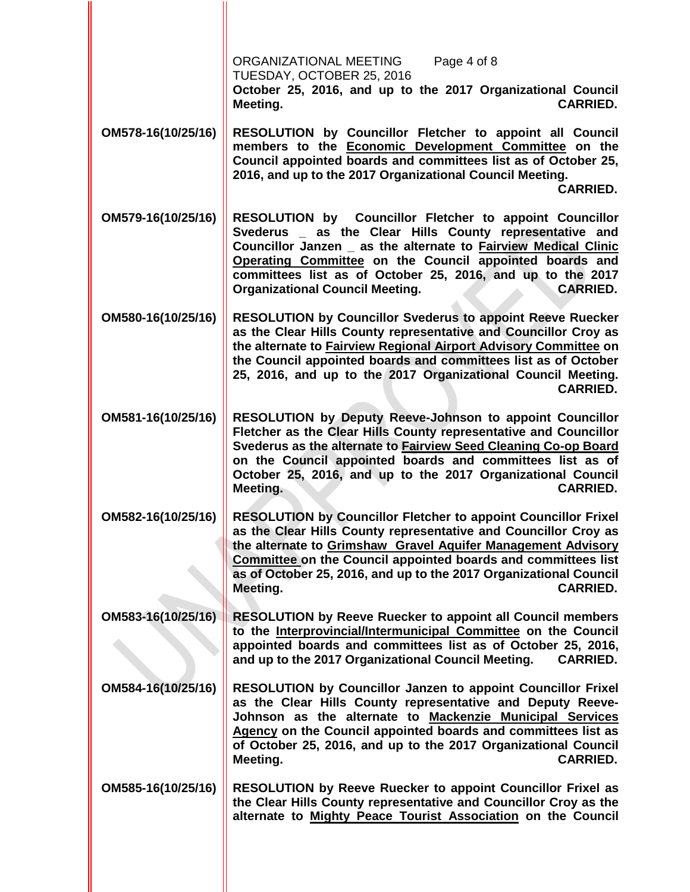|                    | ORGANIZATIONAL MEETING<br>Page 4 of 8<br>TUESDAY, OCTOBER 25, 2016<br>October 25, 2016, and up to the 2017 Organizational Council<br><b>CARRIED.</b><br>Meeting.                                                                                                                                                                                                              |
|--------------------|-------------------------------------------------------------------------------------------------------------------------------------------------------------------------------------------------------------------------------------------------------------------------------------------------------------------------------------------------------------------------------|
| OM578-16(10/25/16) | RESOLUTION by Councillor Fletcher to appoint all Council<br>members to the Economic Development Committee on the<br>Council appointed boards and committees list as of October 25,<br>2016, and up to the 2017 Organizational Council Meeting.<br><b>CARRIED.</b>                                                                                                             |
| OM579-16(10/25/16) | RESOLUTION by Councillor Fletcher to appoint Councillor<br>Svederus _ as the Clear Hills County representative and<br>Councillor Janzen _ as the alternate to Fairview Medical Clinic<br>Operating Committee on the Council appointed boards and<br>committees list as of October 25, 2016, and up to the 2017<br><b>Organizational Council Meeting.</b><br><b>CARRIED.</b>   |
| OM580-16(10/25/16) | <b>RESOLUTION by Councillor Svederus to appoint Reeve Ruecker</b><br>as the Clear Hills County representative and Councillor Croy as<br>the alternate to Fairview Regional Airport Advisory Committee on<br>the Council appointed boards and committees list as of October<br>25, 2016, and up to the 2017 Organizational Council Meeting.<br><b>CARRIED.</b>                 |
| OM581-16(10/25/16) | RESOLUTION by Deputy Reeve-Johnson to appoint Councillor<br>Fletcher as the Clear Hills County representative and Councillor<br>Svederus as the alternate to Fairview Seed Cleaning Co-op Board<br>on the Council appointed boards and committees list as of<br>October 25, 2016, and up to the 2017 Organizational Council<br>Meeting.<br><b>CARRIED.</b>                    |
| OM582-16(10/25/16) | <b>RESOLUTION by Councillor Fletcher to appoint Councillor Frixel</b><br>as the Clear Hills County representative and Councillor Croy as<br>the alternate to Grimshaw Gravel Aquifer Management Advisory<br>Committee on the Council appointed boards and committees list<br>as of October 25, 2016, and up to the 2017 Organizational Council<br><b>CARRIED.</b><br>Meeting. |
| OM583-16(10/25/16) | <b>RESOLUTION by Reeve Ruecker to appoint all Council members</b><br>to the Interprovincial/Intermunicipal Committee on the Council<br>appointed boards and committees list as of October 25, 2016,<br>and up to the 2017 Organizational Council Meeting.<br><b>CARRIED.</b>                                                                                                  |
| OM584-16(10/25/16) | RESOLUTION by Councillor Janzen to appoint Councillor Frixel<br>as the Clear Hills County representative and Deputy Reeve-<br>Johnson as the alternate to Mackenzie Municipal Services<br>Agency on the Council appointed boards and committees list as<br>of October 25, 2016, and up to the 2017 Organizational Council<br><b>CARRIED.</b><br>Meeting.                      |
| OM585-16(10/25/16) | RESOLUTION by Reeve Ruecker to appoint Councillor Frixel as<br>the Clear Hills County representative and Councillor Croy as the<br>alternate to Mighty Peace Tourist Association on the Council                                                                                                                                                                               |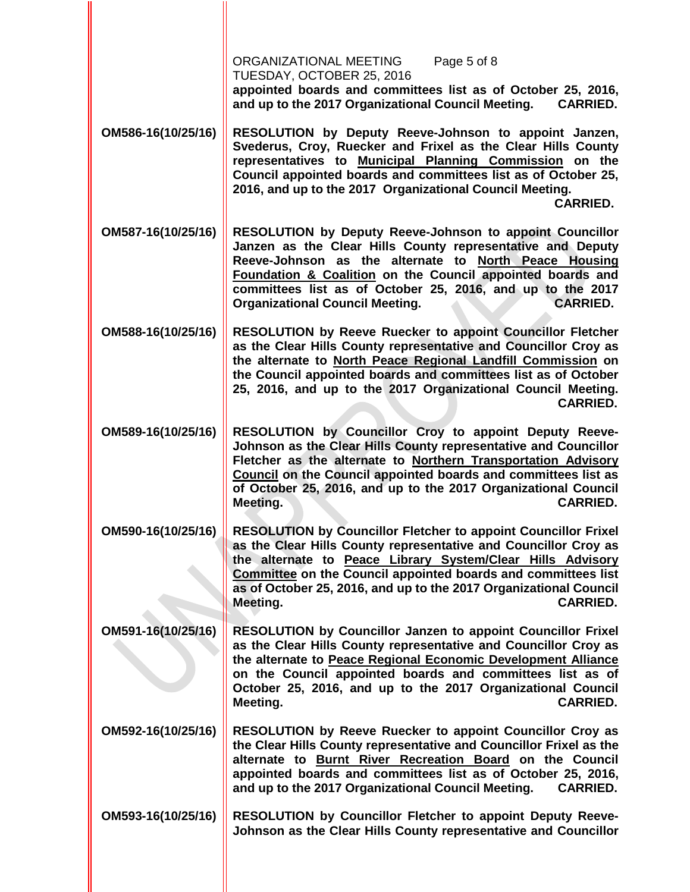|                    | ORGANIZATIONAL MEETING<br>Page 5 of 8<br>TUESDAY, OCTOBER 25, 2016<br>appointed boards and committees list as of October 25, 2016,<br>and up to the 2017 Organizational Council Meeting.<br><b>CARRIED.</b>                                                                                                                                                                 |
|--------------------|-----------------------------------------------------------------------------------------------------------------------------------------------------------------------------------------------------------------------------------------------------------------------------------------------------------------------------------------------------------------------------|
| OM586-16(10/25/16) | RESOLUTION by Deputy Reeve-Johnson to appoint Janzen,<br>Svederus, Croy, Ruecker and Frixel as the Clear Hills County<br>representatives to Municipal Planning Commission on the<br>Council appointed boards and committees list as of October 25,<br>2016, and up to the 2017 Organizational Council Meeting.<br><b>CARRIED.</b>                                           |
| OM587-16(10/25/16) | RESOLUTION by Deputy Reeve-Johnson to appoint Councillor<br>Janzen as the Clear Hills County representative and Deputy<br>Reeve-Johnson as the alternate to North Peace Housing<br>Foundation & Coalition on the Council appointed boards and<br>committees list as of October 25, 2016, and up to the 2017<br><b>Organizational Council Meeting.</b><br><b>CARRIED.</b>    |
| OM588-16(10/25/16) | <b>RESOLUTION by Reeve Ruecker to appoint Councillor Fletcher</b><br>as the Clear Hills County representative and Councillor Croy as<br>the alternate to North Peace Regional Landfill Commission on<br>the Council appointed boards and committees list as of October<br>25, 2016, and up to the 2017 Organizational Council Meeting.<br><b>CARRIED.</b>                   |
| OM589-16(10/25/16) | RESOLUTION by Councillor Croy to appoint Deputy Reeve-<br>Johnson as the Clear Hills County representative and Councillor<br>Fletcher as the alternate to Northern Transportation Advisory<br>Council on the Council appointed boards and committees list as<br>of October 25, 2016, and up to the 2017 Organizational Council<br>Meeting.<br><b>CARRIED.</b>               |
| OM590-16(10/25/16) | <b>RESOLUTION by Councillor Fletcher to appoint Councillor Frixel</b><br>as the Clear Hills County representative and Councillor Croy as<br>the alternate to Peace Library System/Clear Hills Advisory<br>Committee on the Council appointed boards and committees list<br>as of October 25, 2016, and up to the 2017 Organizational Council<br><b>CARRIED.</b><br>Meeting. |
| OM591-16(10/25/16) | RESOLUTION by Councillor Janzen to appoint Councillor Frixel<br>as the Clear Hills County representative and Councillor Croy as<br>the alternate to Peace Regional Economic Development Alliance<br>on the Council appointed boards and committees list as of<br>October 25, 2016, and up to the 2017 Organizational Council<br><b>CARRIED.</b><br>Meeting.                 |
| OM592-16(10/25/16) | <b>RESOLUTION by Reeve Ruecker to appoint Councillor Croy as</b><br>the Clear Hills County representative and Councillor Frixel as the<br>alternate to Burnt River Recreation Board on the Council<br>appointed boards and committees list as of October 25, 2016,<br>and up to the 2017 Organizational Council Meeting.<br><b>CARRIED.</b>                                 |
| OM593-16(10/25/16) | RESOLUTION by Councillor Fletcher to appoint Deputy Reeve-<br>Johnson as the Clear Hills County representative and Councillor                                                                                                                                                                                                                                               |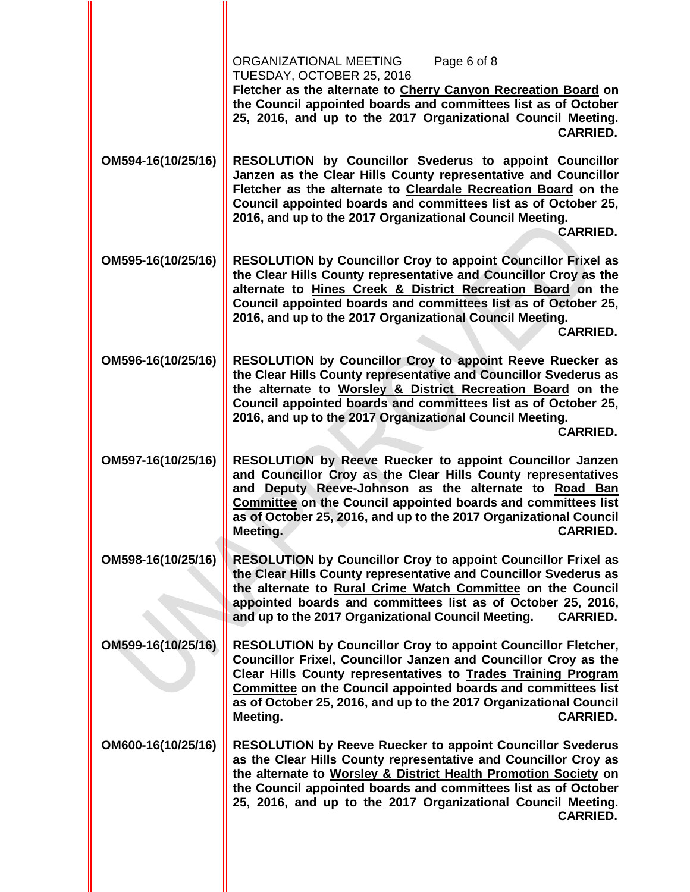| ORGANIZATIONAL MEETING<br>Page 6 of 8<br>TUESDAY, OCTOBER 25, 2016<br>Fletcher as the alternate to Cherry Canyon Recreation Board on<br>the Council appointed boards and committees list as of October<br>25, 2016, and up to the 2017 Organizational Council Meeting.<br><b>CARRIED.</b>                                                                                            |
|--------------------------------------------------------------------------------------------------------------------------------------------------------------------------------------------------------------------------------------------------------------------------------------------------------------------------------------------------------------------------------------|
| RESOLUTION by Councillor Svederus to appoint Councillor<br>Janzen as the Clear Hills County representative and Councillor<br>Fletcher as the alternate to Cleardale Recreation Board on the<br>Council appointed boards and committees list as of October 25,<br>2016, and up to the 2017 Organizational Council Meeting.<br><b>CARRIED.</b>                                         |
| RESOLUTION by Councillor Croy to appoint Councillor Frixel as<br>the Clear Hills County representative and Councillor Croy as the<br>alternate to Hines Creek & District Recreation Board on the<br>Council appointed boards and committees list as of October 25,<br>2016, and up to the 2017 Organizational Council Meeting.<br><b>CARRIED.</b>                                    |
| RESOLUTION by Councillor Croy to appoint Reeve Ruecker as<br>the Clear Hills County representative and Councillor Svederus as<br>the alternate to Worsley & District Recreation Board on the<br>Council appointed boards and committees list as of October 25,<br>2016, and up to the 2017 Organizational Council Meeting.<br><b>CARRIED.</b>                                        |
| RESOLUTION by Reeve Ruecker to appoint Councillor Janzen<br>and Councillor Croy as the Clear Hills County representatives<br>Deputy Reeve-Johnson as the alternate to Road Ban<br>and<br>Committee on the Council appointed boards and committees list<br>as of October 25, 2016, and up to the 2017 Organizational Council<br>Meeting.<br><b>CARRIED.</b>                           |
| <b>RESOLUTION by Councillor Croy to appoint Councillor Frixel as</b><br>the Clear Hills County representative and Councillor Svederus as<br>the alternate to Rural Crime Watch Committee on the Council<br>appointed boards and committees list as of October 25, 2016,<br>and up to the 2017 Organizational Council Meeting.<br><b>CARRIED.</b>                                     |
| <b>RESOLUTION by Councillor Croy to appoint Councillor Fletcher,</b><br>Councillor Frixel, Councillor Janzen and Councillor Croy as the<br>Clear Hills County representatives to Trades Training Program<br><b>Committee on the Council appointed boards and committees list</b><br>as of October 25, 2016, and up to the 2017 Organizational Council<br><b>CARRIED.</b><br>Meeting. |
| <b>RESOLUTION by Reeve Ruecker to appoint Councillor Svederus</b><br>as the Clear Hills County representative and Councillor Croy as<br>the alternate to Worsley & District Health Promotion Society on<br>the Council appointed boards and committees list as of October<br>25, 2016, and up to the 2017 Organizational Council Meeting.<br><b>CARRIED.</b>                         |
|                                                                                                                                                                                                                                                                                                                                                                                      |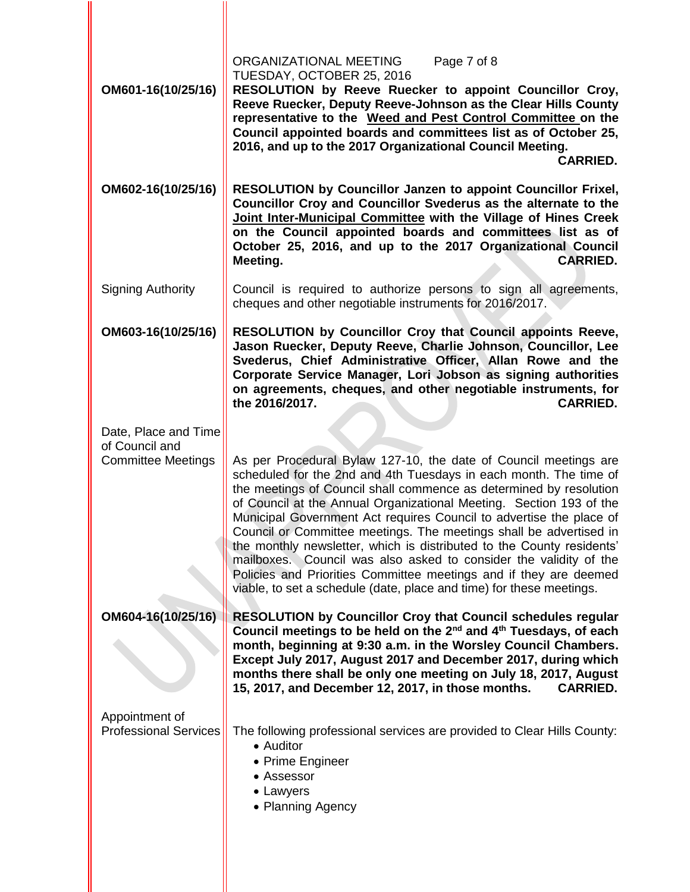| OM601-16(10/25/16)                             | ORGANIZATIONAL MEETING<br>Page 7 of 8<br>TUESDAY, OCTOBER 25, 2016<br>RESOLUTION by Reeve Ruecker to appoint Councillor Croy,<br>Reeve Ruecker, Deputy Reeve-Johnson as the Clear Hills County<br>representative to the Weed and Pest Control Committee on the<br>Council appointed boards and committees list as of October 25,<br>2016, and up to the 2017 Organizational Council Meeting.<br><b>CARRIED.</b>                                                                                                                                                                                                                                                                                                            |
|------------------------------------------------|----------------------------------------------------------------------------------------------------------------------------------------------------------------------------------------------------------------------------------------------------------------------------------------------------------------------------------------------------------------------------------------------------------------------------------------------------------------------------------------------------------------------------------------------------------------------------------------------------------------------------------------------------------------------------------------------------------------------------|
| OM602-16(10/25/16)                             | <b>RESOLUTION by Councillor Janzen to appoint Councillor Frixel,</b><br>Councillor Croy and Councillor Svederus as the alternate to the<br>Joint Inter-Municipal Committee with the Village of Hines Creek<br>on the Council appointed boards and committees list as of<br>October 25, 2016, and up to the 2017 Organizational Council<br>Meeting.<br><b>CARRIED.</b>                                                                                                                                                                                                                                                                                                                                                      |
| <b>Signing Authority</b>                       | Council is required to authorize persons to sign all agreements,<br>cheques and other negotiable instruments for 2016/2017.                                                                                                                                                                                                                                                                                                                                                                                                                                                                                                                                                                                                |
| OM603-16(10/25/16)                             | <b>RESOLUTION by Councillor Croy that Council appoints Reeve,</b><br>Jason Ruecker, Deputy Reeve, Charlie Johnson, Councillor, Lee<br>Svederus, Chief Administrative Officer, Allan Rowe and the<br>Corporate Service Manager, Lori Jobson as signing authorities<br>on agreements, cheques, and other negotiable instruments, for<br>the 2016/2017.<br><b>CARRIED.</b>                                                                                                                                                                                                                                                                                                                                                    |
| Date, Place and Time<br>of Council and         |                                                                                                                                                                                                                                                                                                                                                                                                                                                                                                                                                                                                                                                                                                                            |
| <b>Committee Meetings</b>                      | As per Procedural Bylaw 127-10, the date of Council meetings are<br>scheduled for the 2nd and 4th Tuesdays in each month. The time of<br>the meetings of Council shall commence as determined by resolution<br>of Council at the Annual Organizational Meeting. Section 193 of the<br>Municipal Government Act requires Council to advertise the place of<br>Council or Committee meetings. The meetings shall be advertised in<br>the monthly newsletter, which is distributed to the County residents'<br>mailboxes. Council was also asked to consider the validity of the<br>Policies and Priorities Committee meetings and if they are deemed<br>viable, to set a schedule (date, place and time) for these meetings. |
| OM604-16(10/25/16)                             | <b>RESOLUTION by Councillor Croy that Council schedules regular</b><br>Council meetings to be held on the $2^{nd}$ and $4^{th}$ Tuesdays, of each<br>month, beginning at 9:30 a.m. in the Worsley Council Chambers.<br>Except July 2017, August 2017 and December 2017, during which<br>months there shall be only one meeting on July 18, 2017, August<br>15, 2017, and December 12, 2017, in those months.<br><b>CARRIED.</b>                                                                                                                                                                                                                                                                                            |
| Appointment of<br><b>Professional Services</b> | The following professional services are provided to Clear Hills County:<br>• Auditor<br>• Prime Engineer<br>• Assessor<br>• Lawyers<br>• Planning Agency                                                                                                                                                                                                                                                                                                                                                                                                                                                                                                                                                                   |

II